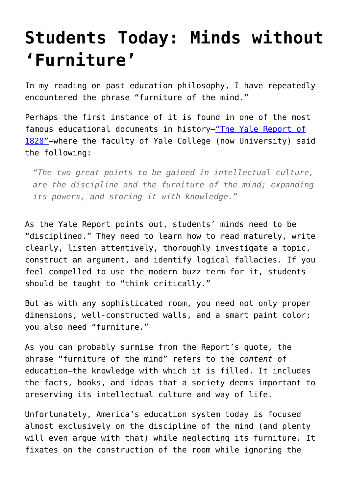## **[Students Today: Minds without](https://intellectualtakeout.org/2016/07/students-today-minds-without-furniture/) ['Furniture'](https://intellectualtakeout.org/2016/07/students-today-minds-without-furniture/)**

In my reading on past education philosophy, I have repeatedly encountered the phrase "furniture of the mind."

Perhaps the first instance of it is found in one of the most famous educational documents in history—["The Yale Report of](http://collegiateway.org/reading/yale-report-1828/) [1828"](http://collegiateway.org/reading/yale-report-1828/)-where the faculty of Yale College (now University) said the following:

*"The two great points to be gained in intellectual culture, are the discipline and the furniture of the mind; expanding its powers, and storing it with knowledge."*

As the Yale Report points out, students' minds need to be "disciplined." They need to learn how to read maturely, write clearly, listen attentively, thoroughly investigate a topic, construct an argument, and identify logical fallacies. If you feel compelled to use the modern buzz term for it, students should be taught to "think critically."

But as with any sophisticated room, you need not only proper dimensions, well-constructed walls, and a smart paint color; you also need "furniture."

As you can probably surmise from the Report's quote, the phrase "furniture of the mind" refers to the *content* of education—the knowledge with which it is filled. It includes the facts, books, and ideas that a society deems important to preserving its intellectual culture and way of life.

Unfortunately, America's education system today is focused almost exclusively on the discipline of the mind (and plenty will even argue with that) while neglecting its furniture. It fixates on the construction of the room while ignoring the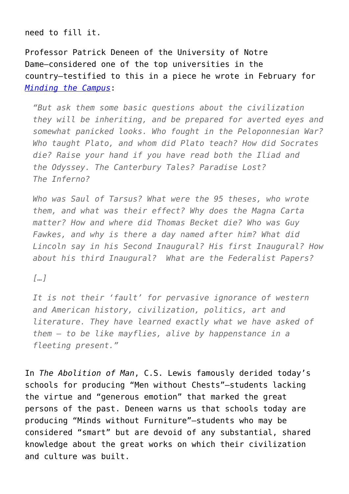need to fill it.

Professor Patrick Deneen of the University of Notre Dame—considered one of the top universities in the country—testified to this in a piece he wrote in February for *[Minding the Campus](http://www.mindingthecampus.org/2016/02/how-a-generation-lost-its-common-culture/)*:

*"But ask them some basic questions about the civilization they will be inheriting, and be prepared for averted eyes and somewhat panicked looks. Who fought in the Peloponnesian War? Who taught Plato, and whom did Plato teach? How did Socrates die? Raise your hand if you have read both the Iliad and the Odyssey. The Canterbury Tales? Paradise Lost? The Inferno?*

*Who was Saul of Tarsus? What were the 95 theses, who wrote them, and what was their effect? Why does the Magna Carta matter? How and where did Thomas Becket die? Who was Guy Fawkes, and why is there a day named after him? What did Lincoln say in his Second Inaugural? His first Inaugural? How about his third Inaugural? What are the Federalist Papers?*

*[…]*

*It is not their 'fault' for pervasive ignorance of western and American history, civilization, politics, art and literature. They have learned exactly what we have asked of them – to be like mayflies, alive by happenstance in a fleeting present."*

In *The Abolition of Man*, C.S. Lewis famously derided today's schools for producing "Men without Chests"—students lacking the virtue and "generous emotion" that marked the great persons of the past. Deneen warns us that schools today are producing "Minds without Furniture"—students who may be considered "smart" but are devoid of any substantial, shared knowledge about the great works on which their civilization and culture was built.